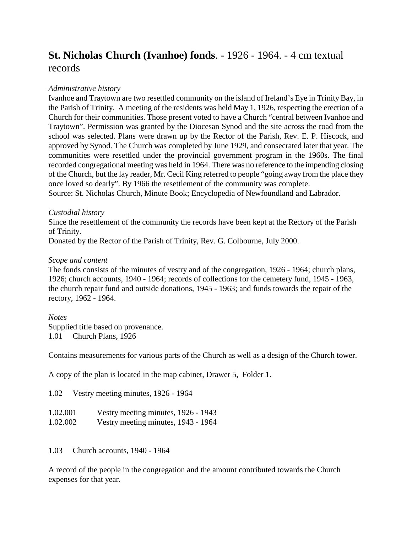# **St. Nicholas Church (Ivanhoe) fonds**. - 1926 - 1964. - 4 cm textual records

## *Administrative history*

Ivanhoe and Traytown are two resettled community on the island of Ireland's Eye in Trinity Bay, in the Parish of Trinity. A meeting of the residents was held May 1, 1926, respecting the erection of a Church for their communities. Those present voted to have a Church "central between Ivanhoe and Traytown". Permission was granted by the Diocesan Synod and the site across the road from the school was selected. Plans were drawn up by the Rector of the Parish, Rev. E. P. Hiscock, and approved by Synod. The Church was completed by June 1929, and consecrated later that year. The communities were resettled under the provincial government program in the 1960s. The final recorded congregational meeting was held in 1964. There was no reference to the impending closing of the Church, but the lay reader, Mr. Cecil King referred to people "going away from the place they once loved so dearly". By 1966 the resettlement of the community was complete.

Source: St. Nicholas Church, Minute Book; Encyclopedia of Newfoundland and Labrador.

### *Custodial history*

Since the resettlement of the community the records have been kept at the Rectory of the Parish of Trinity.

Donated by the Rector of the Parish of Trinity, Rev. G. Colbourne, July 2000.

### *Scope and content*

The fonds consists of the minutes of vestry and of the congregation, 1926 - 1964; church plans, 1926; church accounts, 1940 - 1964; records of collections for the cemetery fund, 1945 - 1963, the church repair fund and outside donations, 1945 - 1963; and funds towards the repair of the rectory, 1962 - 1964.

### *Notes*

Supplied title based on provenance. 1.01 Church Plans, 1926

Contains measurements for various parts of the Church as well as a design of the Church tower.

A copy of the plan is located in the map cabinet, Drawer 5, Folder 1.

1.02 Vestry meeting minutes, 1926 - 1964

| 1.02.001<br>Vestry meeting minutes, 1926 - 1943 |  |  |
|-------------------------------------------------|--|--|
|-------------------------------------------------|--|--|

1.02.002 Vestry meeting minutes, 1943 - 1964

1.03 Church accounts, 1940 - 1964

A record of the people in the congregation and the amount contributed towards the Church expenses for that year.